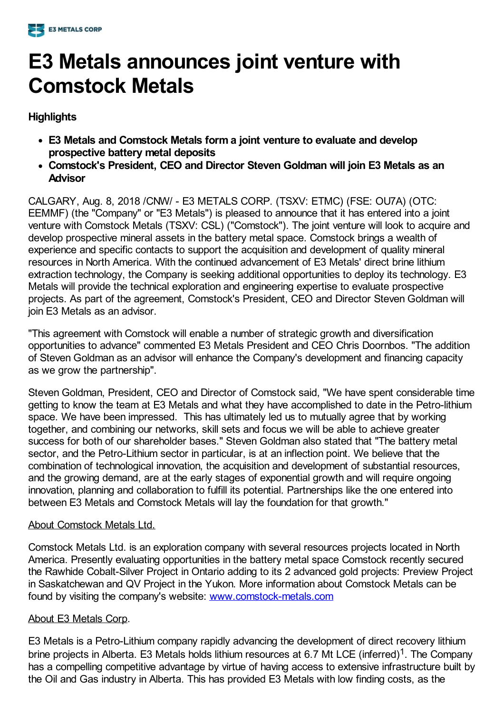

## **E3 Metals announces joint venture with Comstock Metals**

## **Highlights**

- **E3 Metals and Comstock Metals form a joint venture to evaluate and develop prospective battery metal deposits**
- **Comstock's President, CEO and Director Steven Goldman will join E3 Metals as an Advisor**

CALGARY, Aug. 8, 2018 /CNW/ - E3 METALS CORP. (TSXV: ETMC) (FSE: OU7A) (OTC: EEMMF) (the "Company" or "E3 Metals") is pleased to announce that it has entered into a joint venture with Comstock Metals (TSXV: CSL) ("Comstock"). The joint venture will look to acquire and develop prospective mineral assets in the battery metal space. Comstock brings a wealth of experience and specific contacts to support the acquisition and development of quality mineral resources in North America. With the continued advancement of E3 Metals' direct brine lithium extraction technology, the Company is seeking additional opportunities to deploy its technology. E3 Metals will provide the technical exploration and engineering expertise to evaluate prospective projects. As part of the agreement, Comstock's President, CEO and Director Steven Goldman will join E3 Metals as an advisor.

"This agreement with Comstock will enable a number of strategic growth and diversification opportunities to advance" commented E3 Metals President and CEO Chris Doornbos. "The addition of Steven Goldman as an advisor will enhance the Company's development and financing capacity as we grow the partnership".

Steven Goldman, President, CEO and Director of Comstock said, "We have spent considerable time getting to know the team at E3 Metals and what they have accomplished to date in the Petro-lithium space. We have been impressed. This has ultimately led us to mutually agree that by working together, and combining our networks, skill sets and focus we will be able to achieve greater success for both of our shareholder bases." Steven Goldman also stated that "The battery metal sector, and the Petro-Lithium sector in particular, is at an inflection point. We believe that the combination of technological innovation, the acquisition and development of substantial resources, and the growing demand, are at the early stages of exponential growth and will require ongoing innovation, planning and collaboration to fulfill its potential. Partnerships like the one entered into between E3 Metals and Comstock Metals will lay the foundation for that growth."

## About Comstock Metals Ltd.

Comstock Metals Ltd. is an exploration company with several resources projects located in North America. Presently evaluating opportunities in the battery metal space Comstock recently secured the Rawhide Cobalt-Silver Project in Ontario adding to its 2 advanced gold projects: Preview Project in Saskatchewan and QV Project in the Yukon. More information about Comstock Metals can be found by visiting the company's website: [www.comstock-metals.com](http://www.comstock-metals.com/)

## About E3 Metals Corp.

E3 Metals is a Petro-Lithium company rapidly advancing the development of direct recovery lithium brine projects in Alberta. E3 Metals holds lithium resources at 6.7 Mt LCE (inferred)<sup>1</sup>. The Company has a compelling competitive advantage by virtue of having access to extensive infrastructure built by the Oil and Gas industry in Alberta. This has provided E3 Metals with low finding costs, as the